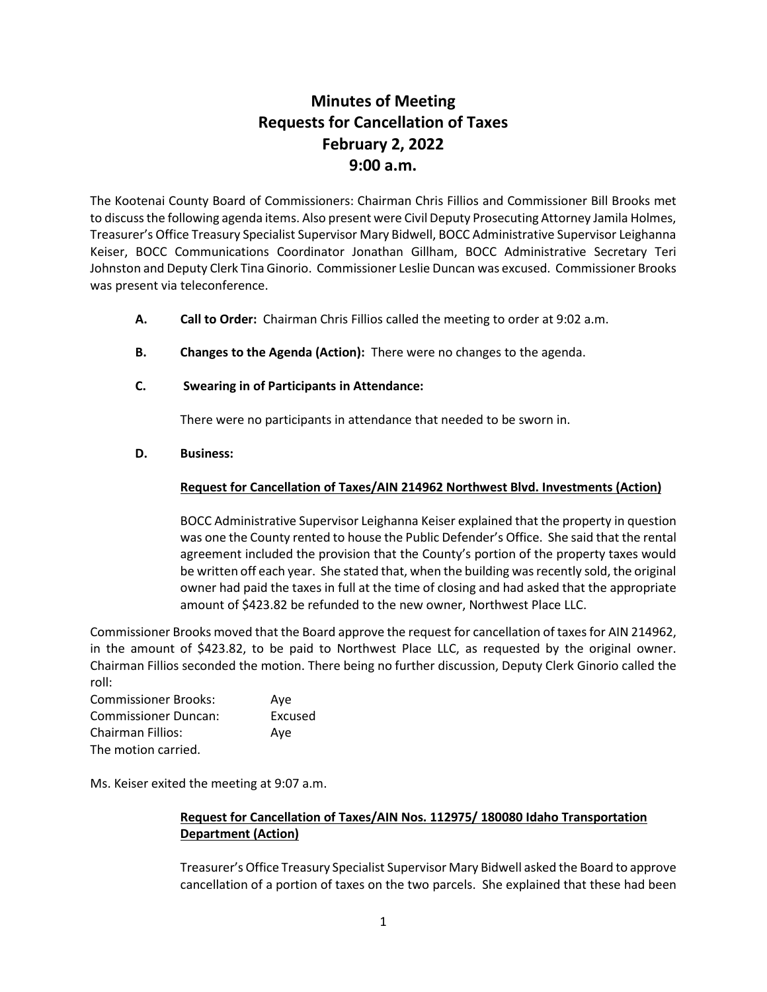# **Minutes of Meeting Requests for Cancellation of Taxes February 2, 2022 9:00 a.m.**

The Kootenai County Board of Commissioners: Chairman Chris Fillios and Commissioner Bill Brooks met to discuss the following agenda items. Also present were Civil Deputy Prosecuting Attorney Jamila Holmes, Treasurer's Office Treasury Specialist Supervisor Mary Bidwell, BOCC Administrative Supervisor Leighanna Keiser, BOCC Communications Coordinator Jonathan Gillham, BOCC Administrative Secretary Teri Johnston and Deputy Clerk Tina Ginorio. Commissioner Leslie Duncan was excused. Commissioner Brooks was present via teleconference.

- **A. Call to Order:** Chairman Chris Fillios called the meeting to order at 9:02 a.m.
- **B. Changes to the Agenda (Action):** There were no changes to the agenda.
- **C. Swearing in of Participants in Attendance:**

There were no participants in attendance that needed to be sworn in.

#### **D. Business:**

#### **Request for Cancellation of Taxes/AIN 214962 Northwest Blvd. Investments (Action)**

BOCC Administrative Supervisor Leighanna Keiser explained that the property in question was one the County rented to house the Public Defender's Office. She said that the rental agreement included the provision that the County's portion of the property taxes would be written off each year. She stated that, when the building was recently sold, the original owner had paid the taxes in full at the time of closing and had asked that the appropriate amount of \$423.82 be refunded to the new owner, Northwest Place LLC.

Commissioner Brooks moved that the Board approve the request for cancellation of taxes for AIN 214962, in the amount of \$423.82, to be paid to Northwest Place LLC, as requested by the original owner. Chairman Fillios seconded the motion. There being no further discussion, Deputy Clerk Ginorio called the roll:

| <b>Commissioner Brooks:</b> | Ave     |
|-----------------------------|---------|
| <b>Commissioner Duncan:</b> | Excused |
| Chairman Fillios:           | Ave     |
| The motion carried.         |         |

Ms. Keiser exited the meeting at 9:07 a.m.

### **Request for Cancellation of Taxes/AIN Nos. 112975/ 180080 Idaho Transportation Department (Action)**

Treasurer's Office Treasury Specialist Supervisor Mary Bidwell asked the Board to approve cancellation of a portion of taxes on the two parcels. She explained that these had been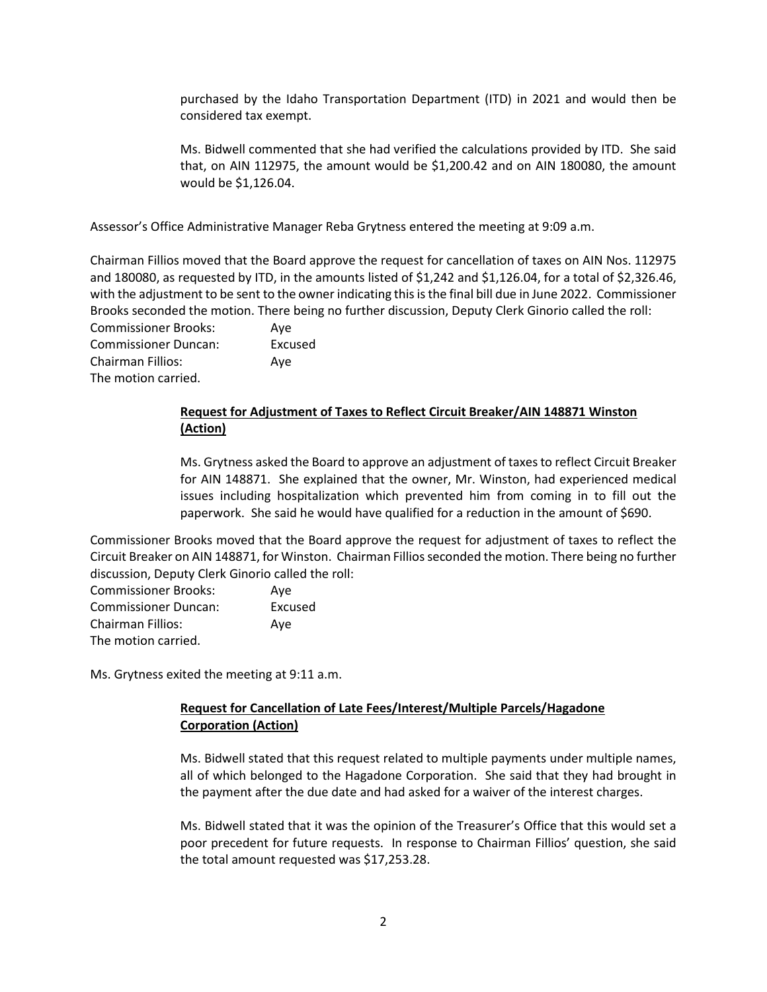purchased by the Idaho Transportation Department (ITD) in 2021 and would then be considered tax exempt.

Ms. Bidwell commented that she had verified the calculations provided by ITD. She said that, on AIN 112975, the amount would be \$1,200.42 and on AIN 180080, the amount would be \$1,126.04.

Assessor's Office Administrative Manager Reba Grytness entered the meeting at 9:09 a.m.

Chairman Fillios moved that the Board approve the request for cancellation of taxes on AIN Nos. 112975 and 180080, as requested by ITD, in the amounts listed of \$1,242 and \$1,126.04, for a total of \$2,326.46, with the adjustment to be sent to the owner indicating this is the final bill due in June 2022. Commissioner Brooks seconded the motion. There being no further discussion, Deputy Clerk Ginorio called the roll: Commissioner Brooks: Aye Commissioner Duncan: Excused Chairman Fillios: Aye

The motion carried.

## **Request for Adjustment of Taxes to Reflect Circuit Breaker/AIN 148871 Winston (Action)**

Ms. Grytness asked the Board to approve an adjustment of taxes to reflect Circuit Breaker for AIN 148871. She explained that the owner, Mr. Winston, had experienced medical issues including hospitalization which prevented him from coming in to fill out the paperwork. She said he would have qualified for a reduction in the amount of \$690.

Commissioner Brooks moved that the Board approve the request for adjustment of taxes to reflect the Circuit Breaker on AIN 148871, for Winston. Chairman Filliosseconded the motion. There being no further discussion, Deputy Clerk Ginorio called the roll:

| <b>Commissioner Brooks:</b> | Ave     |
|-----------------------------|---------|
| <b>Commissioner Duncan:</b> | Excused |
| <b>Chairman Fillios:</b>    | Ave     |
| The motion carried.         |         |

Ms. Grytness exited the meeting at 9:11 a.m.

### **Request for Cancellation of Late Fees/Interest/Multiple Parcels/Hagadone Corporation (Action)**

Ms. Bidwell stated that this request related to multiple payments under multiple names, all of which belonged to the Hagadone Corporation. She said that they had brought in the payment after the due date and had asked for a waiver of the interest charges.

Ms. Bidwell stated that it was the opinion of the Treasurer's Office that this would set a poor precedent for future requests. In response to Chairman Fillios' question, she said the total amount requested was \$17,253.28.